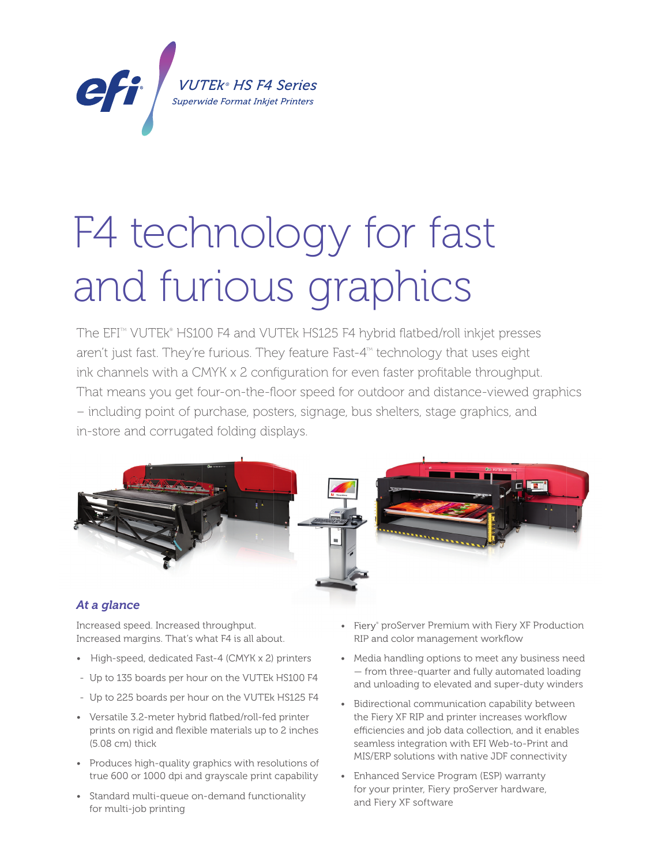

# F4 technology for fast and furious graphics *Superwide Format Inkjet Printers*

The EFI™ VUTEk® HS100 F4 and VUTEk HS125 F4 hybrid flatbed/roll inkjet presses aren't just fast. They're furious. They feature Fast-4<sup>th</sup> technology that uses eight ink channels with a CMYK x 2 configuration for even faster profitable throughput. That means you get four-on-the-floor speed for outdoor and distance-viewed graphics – including point of purchase, posters, signage, bus shelters, stage graphics, and in-store and corrugated folding displays.



### *At a glance*

Increased speed. Increased throughput. Increased margins. That's what F4 is all about.

- High-speed, dedicated Fast-4 (CMYK x 2) printers
- Up to 135 boards per hour on the VUTEk HS100 F4
- Up to 225 boards per hour on the VUTEk HS125 F4
- Versatile 3.2-meter hybrid flatbed/roll-fed printer prints on rigid and flexible materials up to 2 inches (5.08 cm) thick
- Produces high-quality graphics with resolutions of true 600 or 1000 dpi and grayscale print capability
- Standard multi-queue on-demand functionality for multi-job printing
- Fiery<sup>®</sup> proServer Premium with Fiery XF Production RIP and color management workflow
- Media handling options to meet any business need — from three-quarter and fully automated loading and unloading to elevated and super-duty winders
- Bidirectional communication capability between the Fiery XF RIP and printer increases workflow efficiencies and job data collection, and it enables seamless integration with EFI Web-to-Print and MIS/ERP solutions with native JDF connectivity
- Enhanced Service Program (ESP) warranty for your printer, Fiery proServer hardware, and Fiery XF software